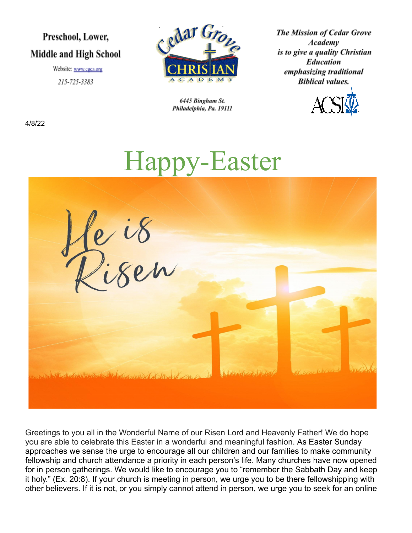# Preschool, Lower, **Middle and High School**

Website: www.cgca.org 215-725-3383



6445 Bingham St. Philadelphia, Pa. 19111 **The Mission of Cedar Grove** Academy is to give a quality Christian **Education** emphasizing traditional **Biblical values.** 



4/8/22



Greetings to you all in the Wonderful Name of our Risen Lord and Heavenly Father! We do hope you are able to celebrate this Easter in a wonderful and meaningful fashion. As Easter Sunday approaches we sense the urge to encourage all our children and our families to make community fellowship and church attendance a priority in each person's life. Many churches have now opened for in person gatherings. We would like to encourage you to "remember the Sabbath Day and keep it holy." (Ex. 20:8). If your church is meeting in person, we urge you to be there fellowshipping with other believers. If it is not, or you simply cannot attend in person, we urge you to seek for an online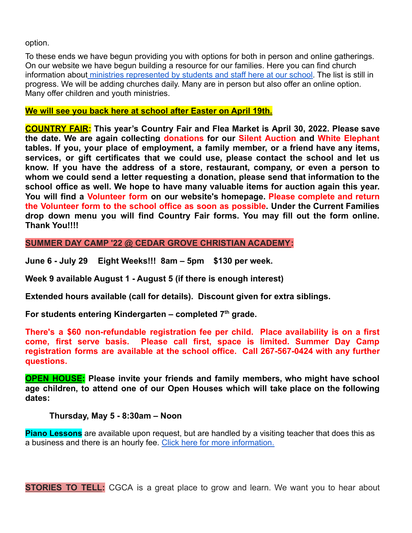option.

To these ends we have begun providing you with options for both in person and online gatherings. On our website we have begun building a resource for our families. Here you can find church information about [ministries represented by students](https://www.cgca.org/churches-that-have-representation-at-cgca/) and staff here at our school. The list is still in progress. We will be adding churches daily. Many are in person but also offer an online option. Many offer children and youth ministries.

#### **We will see you back here at school after Easter on April 19th.**

**COUNTRY FAIR: This year's Country Fair and Flea Market is April 30, 2022. Please save the date. We are again collecting donations for our Silent Auction and White Elephant tables. If you, your place of employment, a family member, or a friend have any items, services, or gift certificates that we could use, please contact the school and let us know. If you have the address of a store, restaurant, company, or even a person to whom we could send a letter requesting a donation, please send that information to the school office as well. We hope to have many valuable items for auction again this year. You will find a Volunteer form on our website's homepage. Please complete and return the Volunteer form to the school office as soon as possible. Under the Current Families drop down menu you will find Country Fair forms. You may fill out the form online. Thank You!!!!**

**SUMMER DAY CAMP '22 @ CEDAR GROVE CHRISTIAN ACADEMY:**

**June 6 - July 29 Eight Weeks!!! 8am – 5pm \$130 per week.**

**Week 9 available August 1 - August 5 (if there is enough interest)**

**Extended hours available (call for details). Discount given for extra siblings.**

**For students entering Kindergarten – completed 7 th grade.**

**There's a \$60 non-refundable registration fee per child. Place availability is on a first come, first serve basis. Please call first, space is limited. Summer Day Camp registration forms are available at the school office. Call 267-567-0424 with any further questions.**

**OPEN HOUSE: Please invite your friends and family members, who might have school age children, to attend one of our Open Houses which will take place on the following dates:**

#### **Thursday, May 5 - 8:30am – Noon**

**Piano Lessons** are available upon request, but are handled by a visiting teacher that does this as a business and there is an hourly fee. Click here [for more information.](https://www.cgca.org/wp-content/uploads/2022/02/piano-flyer-CGCA.pdf)

**STORIES TO TELL:** CGCA is a great place to grow and learn. We want you to hear about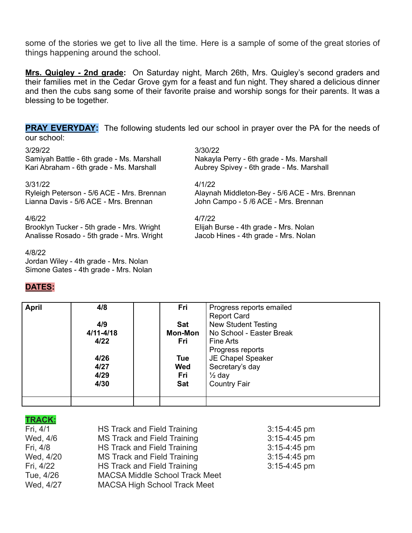some of the stories we get to live all the time. Here is a sample of some of the great stories of things happening around the school.

**Mrs. Quigley - 2nd grade:** On Saturday night, March 26th, Mrs. Quigley's second graders and their families met in the Cedar Grove gym for a feast and fun night. They shared a delicious dinner and then the cubs sang some of their favorite praise and worship songs for their parents. It was a blessing to be together.

**PRAY EVERYDAY:** The following students led our school in prayer over the PA for the needs of our school:

Samiyah Battle - 6th grade - Ms. Marshall Nakayla Perry - 6th grade - Ms. Marshall Kari Abraham - 6th grade - Ms. Marshall Aubrey Spivey - 6th grade - Ms. Marshall

#### 3/31/22 4/1/22

Lianna Davis - 5/6 ACE - Mrs. Brennan John Campo - 5 /6 ACE - Mrs. Brennan

#### 4/6/22 4/7/22

Brooklyn Tucker - 5th grade - Mrs. Wright Elijah Burse - 4th grade - Mrs. Nolan Analisse Rosado - 5th grade - Mrs. Wright Jacob Hines - 4th grade - Mrs. Nolan

#### 4/8/22

Jordan Wiley - 4th grade - Mrs. Nolan Simone Gates - 4th grade - Mrs. Nolan

#### **DATES:**

3/29/22 3/30/22

Ryleigh Peterson - 5/6 ACE - Mrs. Brennan Alaynah Middleton-Bey - 5/6 ACE - Mrs. Brennan

| <b>April</b> | 4/8           | Fri            | Progress reports emailed   |
|--------------|---------------|----------------|----------------------------|
|              |               |                | <b>Report Card</b>         |
|              | 4/9           | <b>Sat</b>     | <b>New Student Testing</b> |
|              | $4/11 - 4/18$ | <b>Mon-Mon</b> | No School - Easter Break   |
|              | 4/22          | Fri            | Fine Arts                  |
|              |               |                | Progress reports           |
|              | 4/26          | Tue            | JE Chapel Speaker          |
|              | 4/27          | Wed            | Secretary's day            |
|              | 4/29          | Fri            | $\frac{1}{2}$ day          |
|              | 4/30          | <b>Sat</b>     | <b>Country Fair</b>        |
|              |               |                |                            |
|              |               |                |                            |

#### **TRACK:**

| Fri, 4/1  | HS Track and Field Training           | $3:15-4:45$ pm |
|-----------|---------------------------------------|----------------|
| Wed, 4/6  | <b>MS Track and Field Training</b>    | $3:15-4:45$ pm |
| Fri, 4/8  | HS Track and Field Training           | $3:15-4:45$ pm |
| Wed, 4/20 | MS Track and Field Training           | $3:15-4:45$ pm |
| Fri, 4/22 | HS Track and Field Training           | $3:15-4:45$ pm |
| Tue, 4/26 | <b>MACSA Middle School Track Meet</b> |                |
| Wed, 4/27 | <b>MACSA High School Track Meet</b>   |                |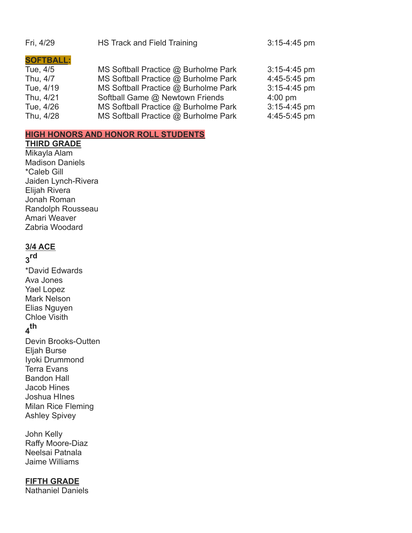| Fri, 4/29        | HS Track and Field Training          |                   |
|------------------|--------------------------------------|-------------------|
| <b>SOFTBALL:</b> |                                      |                   |
| Tue, 4/5         | MS Softball Practice @ Burholme Park | $3:15-4:45$ pm    |
| Thu, 4/7         | MS Softball Practice @ Burholme Park | 4:45-5:45 pm      |
| Tue, 4/19        | MS Softball Practice @ Burholme Park | 3:15-4:45 pm      |
| Thu, 4/21        | Softball Game @ Newtown Friends      | $4:00 \text{ pm}$ |
| Tue, 4/26        | MS Softball Practice @ Burholme Park | $3:15-4:45$ pm    |
| Thu, 4/28        | MS Softball Practice @ Burholme Park | 4:45-5:45 pm      |

#### **HIGH HONORS AND HONOR ROLL STUDENTS**

#### **THIRD GRADE**

Mikayla Alam Madison Daniels \*Caleb Gill Jaiden Lynch-Rivera Elijah Rivera Jonah Roman Randolph Rousseau Amari Weaver Zabria Woodard

#### **3/4 ACE**

## **3 rd**

- \*David Edwards Ava Jones Yael Lopez Mark Nelson Elias Nguyen Chloe Visith **4 th**
- Devin Brooks-Outten Eljah Burse Iyoki Drummond Terra Evans Bandon Hall Jacob Hines Joshua HInes Milan Rice Fleming Ashley Spivey

John Kelly Raffy Moore-Diaz Neelsai Patnala Jaime Williams

#### **FIFTH GRADE**

Nathaniel Daniels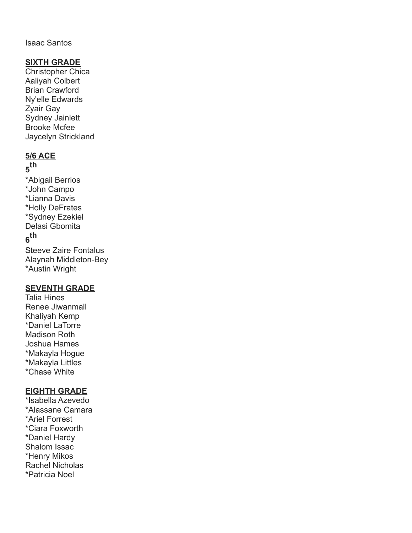#### Isaac Santos

#### **SIXTH GRADE**

Christopher Chica Aaliyah Colbert Brian Crawford Ny'elle Edwards Zyair Gay Sydney Jainlett Brooke Mcfee Jaycelyn Strickland

#### **5/6 ACE**

## **5 th**

\*Abigail Berrios \*John Campo \*Lianna Davis \*Holly DeFrates \*Sydney Ezekiel Delasi Gbomita **6 th**

Steeve Zaire Fontalus Alaynah Middleton-Bey \*Austin Wright

#### **SEVENTH GRADE**

Talia Hines Renee Jiwanmall Khaliyah Kemp \*Daniel LaTorre Madison Roth Joshua Hames \*Makayla Hogue \*Makayla Littles \*Chase White

#### **EIGHTH GRADE**

\*Isabella Azevedo \*Alassane Camara \*Ariel Forrest \*Ciara Foxworth \*Daniel Hardy Shalom Issac \*Henry Mikos Rachel Nicholas \*Patricia Noel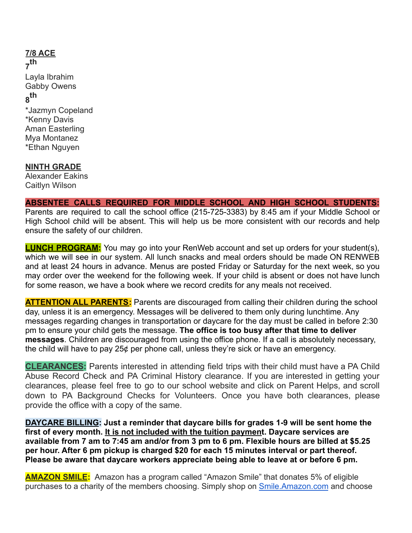### **7/8 ACE 7 th** Layla Ibrahim Gabby Owens **8 th** \*Jazmyn Copeland \*Kenny Davis Aman Easterling Mya Montanez \*Ethan Nguyen

#### **NINTH GRADE**

Alexander Eakins Caitlyn Wilson

#### **ABSENTEE CALLS REQUIRED FOR MIDDLE SCHOOL AND HIGH SCHOOL STUDENTS:**

Parents are required to call the school office (215-725-3383) by 8:45 am if your Middle School or High School child will be absent. This will help us be more consistent with our records and help ensure the safety of our children.

**LUNCH PROGRAM:** You may go into your RenWeb account and set up orders for your student(s), which we will see in our system. All lunch snacks and meal orders should be made ON RENWEB and at least 24 hours in advance. Menus are posted Friday or Saturday for the next week, so you may order over the weekend for the following week. If your child is absent or does not have lunch for some reason, we have a book where we record credits for any meals not received.

**ATTENTION ALL PARENTS:** Parents are discouraged from calling their children during the school day, unless it is an emergency. Messages will be delivered to them only during lunchtime. Any messages regarding changes in transportation or daycare for the day must be called in before 2:30 pm to ensure your child gets the message. **The office is too busy after that time to deliver messages**. Children are discouraged from using the office phone. If a call is absolutely necessary, the child will have to pay 25¢ per phone call, unless they're sick or have an emergency.

**CLEARANCES:** Parents interested in attending field trips with their child must have a PA Child Abuse Record Check and PA Criminal History clearance. If you are interested in getting your clearances, please feel free to go to our school website and click on Parent Helps, and scroll down to PA Background Checks for Volunteers. Once you have both clearances, please provide the office with a copy of the same.

**DAYCARE BILLING: Just a reminder that daycare bills for grades 1-9 will be sent home the first of every month. It is not included with the tuition payment. Daycare services are available from 7 am to 7:45 am and/or from 3 pm to 6 pm. Flexible hours are billed at \$5.25 per hour. After 6 pm pickup is charged \$20 for each 15 minutes interval or part thereof. Please be aware that daycare workers appreciate being able to leave at or before 6 pm.**

**AMAZON SMILE:** Amazon has a program called "Amazon Smile" that donates 5% of eligible purchases to a charity of the members choosing. Simply shop on [Smile.Amazon.com](http://smile.amazon.com/) and choose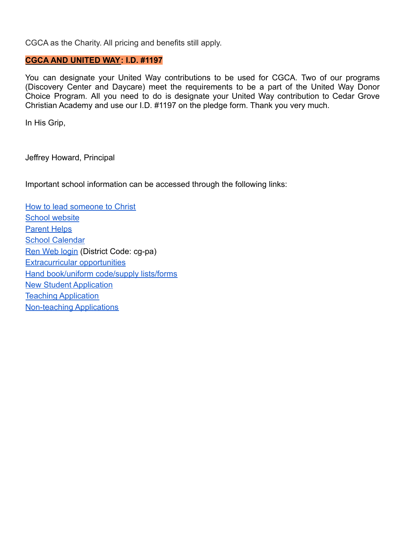CGCA as the Charity. All pricing and benefits still apply.

#### **CGCA AND UNITED WAY: I.D. #1197**

You can designate your United Way contributions to be used for CGCA. Two of our programs (Discovery Center and Daycare) meet the requirements to be a part of the United Way Donor Choice Program. All you need to do is designate your United Way contribution to Cedar Grove Christian Academy and use our I.D. #1197 on the pledge form. Thank you very much.

In His Grip,

Jeffrey Howard, Principal

Important school information can be accessed through the following links:

[How to lead someone to Christ](https://www.cgca.org/the-good-news/) [School website](http://www.cgca.org/) [Parent Helps](https://www.cgca.org/parent-resources/) **[School Calendar](https://www.cgca.org/current-families/calendar/)** [Ren Web login](https://logins2.renweb.com/logins/ParentsWeb-Login.aspx) (District Code: cg-pa) [Extracurricular opportunities](https://www.cgca.org/extracurricular/) [Hand book/uniform code/supply lists/forms](https://www.cgca.org/student-life/) [New Student Application](https://www.cgca.org/prospective-families/application-for-enrollment/) [Teaching Application](https://www.cgca.org/wp-content/uploads/2021/02/teacher-app-without-step-sale.pdf) [Non-teaching Applications](https://www.cgca.org/wp-content/uploads/2021/02/Non-Teaching-Application.pdf)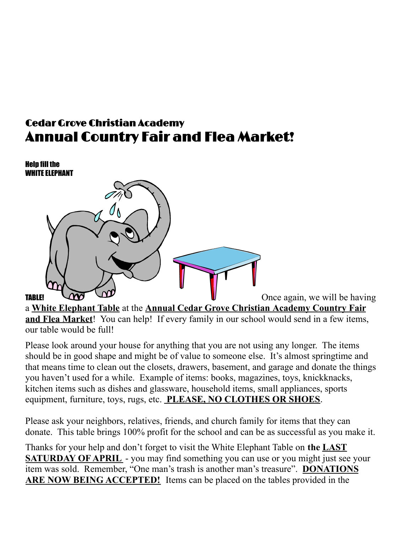# Cedar Grove Christian Academy Annual Country Fair and Flea Market!



a **White Elephant Table** at the **Annual Cedar Grove Christian Academy Country Fair and Flea Market**! You can help! If every family in our school would send in a few items, our table would be full!

Please look around your house for anything that you are not using any longer. The items should be in good shape and might be of value to someone else. It's almost springtime and that means time to clean out the closets, drawers, basement, and garage and donate the things you haven't used for a while. Example of items: books, magazines, toys, knickknacks, kitchen items such as dishes and glassware, household items, small appliances, sports equipment, furniture, toys, rugs, etc. **PLEASE, NO CLOTHES OR SHOES**.

Please ask your neighbors, relatives, friends, and church family for items that they can donate. This table brings 100% profit for the school and can be as successful as you make it.

Thanks for your help and don't forget to visit the White Elephant Table on **the LAST SATURDAY OF APRIL** - you may find something you can use or you might just see your item was sold. Remember, "One man's trash is another man's treasure". **DONATIONS ARE NOW BEING ACCEPTED!** Items can be placed on the tables provided in the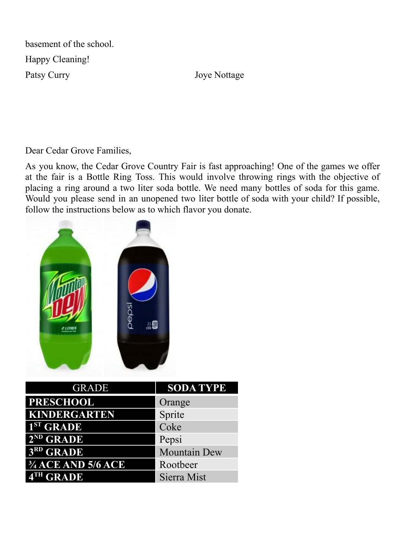basement of the school. Happy Cleaning! Patsy Curry Joye Nottage

Dear Cedar Grove Families,

As you know, the Cedar Grove Country Fair is fast approaching! One of the games we offer at the fair is a Bottle Ring Toss. This would involve throwing rings with the objective of placing a ring around a two liter soda bottle. We need many bottles of soda for this game. Would you please send in an unopened two liter bottle of soda with your child? If possible, follow the instructions below as to which flavor you donate.



| <b>GRADE</b>                  | <b>SODA TYPE</b>    |
|-------------------------------|---------------------|
| <b>PRESCHOOL</b>              | Orange              |
| KINDERGARTEN                  | Sprite              |
| 1 <sup>ST</sup> GRADE         | Coke                |
| $2^{ND}$ GRADE                | Pepsi               |
| 3RD GRADE                     | <b>Mountain Dew</b> |
| $\frac{3}{4}$ ACE AND 5/6 ACE | Rootbeer            |
| 4TH GRADE                     | Sierra Mist         |